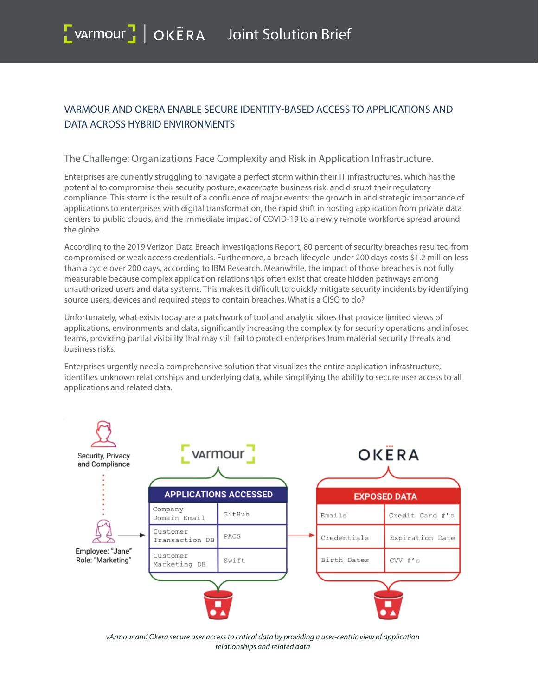# **VARMOUR AND OKERA ENABLE SECURE IDENTITY-BASED ACCESS TO APPLICATIONS AND DATA ACROSS HYBRID ENVIRONMENTS**

## **The Challenge: Organizations Face Complexity and Risk in Application Infrastructure.**

Enterprises are currently struggling to navigate a perfect storm within their IT infrastructures, which has the potential to compromise their security posture, exacerbate business risk, and disrupt their regulatory compliance. This storm is the result of a confluence of major events: the growth in and strategic importance of applications to enterprises with digital transformation, the rapid shift in hosting application from private data centers to public clouds, and the immediate impact of COVID-19 to a newly remote workforce spread around the globe.

According to the 2019 Verizon Data Breach Investigations Report, 80 percent of security breaches resulted from compromised or weak access credentials. Furthermore, a breach lifecycle under 200 days costs \$1.2 million less than a cycle over 200 days, according to IBM Research. Meanwhile, the impact of those breaches is not fully measurable because complex application relationships often exist that create hidden pathways among unauthorized users and data systems. This makes it difficult to quickly mitigate security incidents by identifying source users, devices and required steps to contain breaches. What is a CISO to do?

Unfortunately, what exists today are a patchwork of tool and analytic siloes that provide limited views of applications, environments and data, significantly increasing the complexity for security operations and infosec teams, providing partial visibility that may still fail to protect enterprises from material security threats and business risks.

Enterprises urgently need a comprehensive solution that visualizes the entire application infrastructure, identifies unknown relationships and underlying data, while simplifying the ability to secure user access to all applications and related data.



vArmour and Okera secure user access to critical data by providing a user-centric view of application relationships and related data